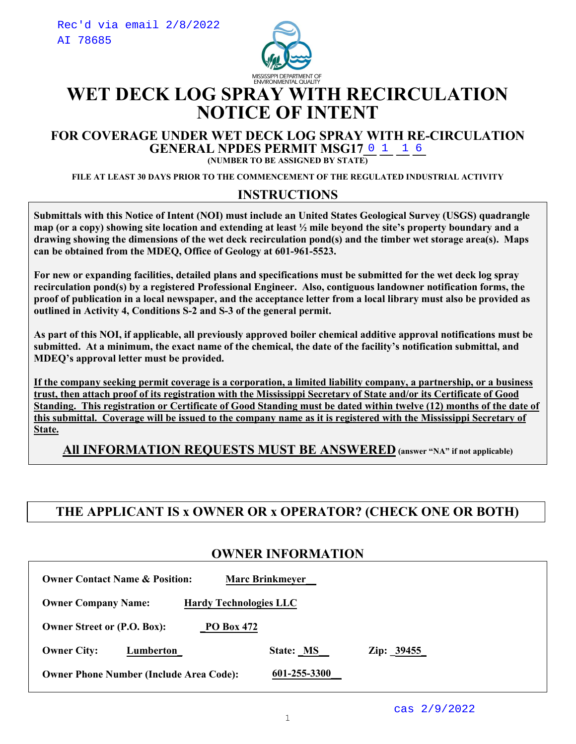

# **WET DECK LOG SPRAY WITH RECIRCULATION NOTICE OF INTENT**

#### **FOR COVERAGE UNDER WET DECK LOG SPRAY WITH RE-CIRCULATION GENERAL NPDES PERMIT MSG17 0 1 1 6**

**(NUMBER TO BE ASSIGNED BY STATE)**

**FILE AT LEAST 30 DAYS PRIOR TO THE COMMENCEMENT OF THE REGULATED INDUSTRIAL ACTIVITY**

#### **INSTRUCTIONS**

**Submittals with this Notice of Intent (NOI) must include an United States Geological Survey (USGS) quadrangle map (or a copy) showing site location and extending at least ½ mile beyond the site's property boundary and a drawing showing the dimensions of the wet deck recirculation pond(s) and the timber wet storage area(s). Maps can be obtained from the MDEQ, Office of Geology at 601-961-5523.** 

**For new or expanding facilities, detailed plans and specifications must be submitted for the wet deck log spray recirculation pond(s) by a registered Professional Engineer. Also, contiguous landowner notification forms, the proof of publication in a local newspaper, and the acceptance letter from a local library must also be provided as outlined in Activity 4, Conditions S-2 and S-3 of the general permit.** 

**As part of this NOI, if applicable, all previously approved boiler chemical additive approval notifications must be submitted. At a minimum, the exact name of the chemical, the date of the facility's notification submittal, and MDEQ's approval letter must be provided.** 

**If the company seeking permit coverage is a corporation, a limited liability company, a partnership, or a business trust, then attach proof of its registration with the Mississippi Secretary of State and/or its Certificate of Good Standing. This registration or Certificate of Good Standing must be dated within twelve (12) months of the date of this submittal. Coverage will be issued to the company name as it is registered with the Mississippi Secretary of State.**

**All INFORMATION REQUESTS MUST BE ANSWERED (answer "NA" if not applicable)**

## **THE APPLICANT IS x OWNER OR x OPERATOR? (CHECK ONE OR BOTH)**

#### **OWNER INFORMATION**

| <b>Owner Contact Name &amp; Position:</b><br><b>Marc Brinkmeyer</b> |              |            |  |
|---------------------------------------------------------------------|--------------|------------|--|
| <b>Hardy Technologies LLC</b><br><b>Owner Company Name:</b>         |              |            |  |
| <b>Owner Street or (P.O. Box):</b><br><b>PO Box 472</b>             |              |            |  |
| <b>Owner City:</b><br>Lumberton                                     | State: MS    | Zip: 39455 |  |
| <b>Owner Phone Number (Include Area Code):</b>                      | 601-255-3300 |            |  |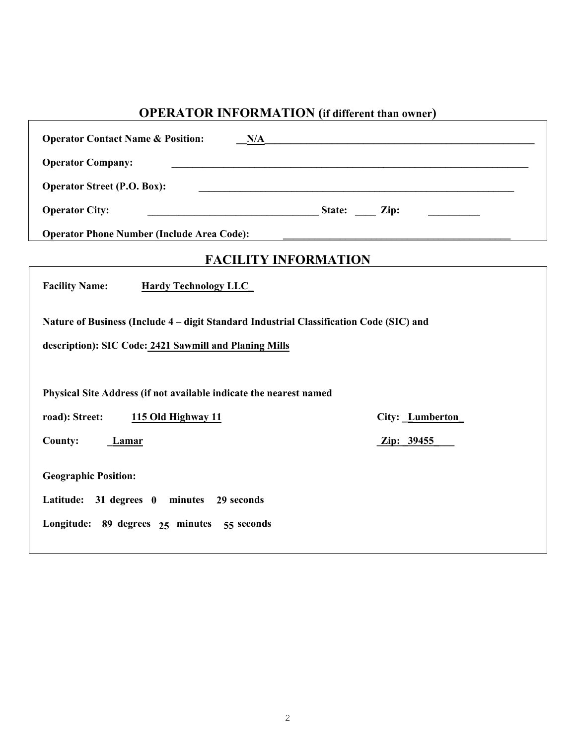## **OPERATOR INFORMATION (if different than owner)**

| <b>Operator Contact Name &amp; Position:</b><br>N/A                                     |                 |  |
|-----------------------------------------------------------------------------------------|-----------------|--|
| <b>Operator Company:</b>                                                                |                 |  |
| <b>Operator Street (P.O. Box):</b>                                                      |                 |  |
| <b>Operator City:</b>                                                                   |                 |  |
| <b>Operator Phone Number (Include Area Code):</b>                                       |                 |  |
| <b>FACILITY INFORMATION</b>                                                             |                 |  |
| <b>Facility Name:</b><br><b>Hardy Technology LLC_</b>                                   |                 |  |
| Nature of Business (Include 4 – digit Standard Industrial Classification Code (SIC) and |                 |  |
| description): SIC Code: 2421 Sawmill and Planing Mills                                  |                 |  |
|                                                                                         |                 |  |
| Physical Site Address (if not available indicate the nearest named                      |                 |  |
| road): Street:<br>115 Old Highway 11                                                    | City: Lumberton |  |
| <b>County:</b><br><b>Lamar</b>                                                          | Zip: 39455      |  |
| <b>Geographic Position:</b>                                                             |                 |  |
| Latitude: 31 degrees 0 minutes 29 seconds                                               |                 |  |
| Longitude: 89 degrees 25 minutes 55 seconds                                             |                 |  |
|                                                                                         |                 |  |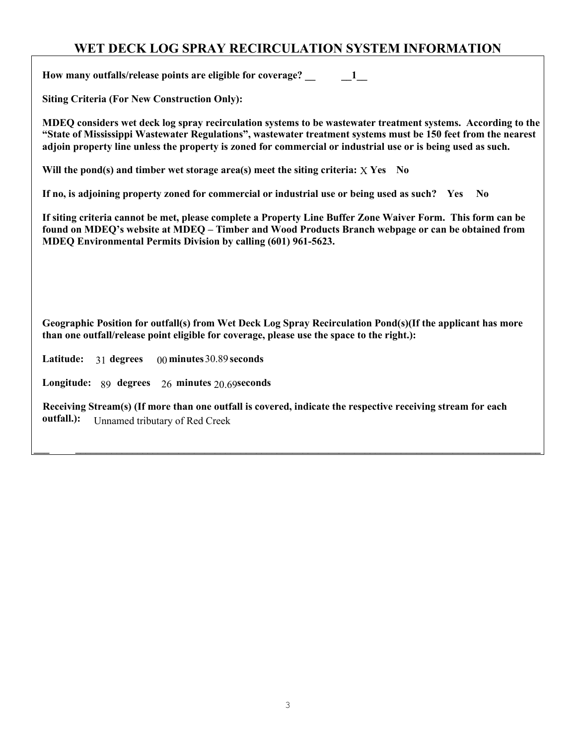## **WET DECK LOG SPRAY RECIRCULATION SYSTEM INFORMATION**

**How many outfalls/release points are eligible for coverage? \_\_ \_\_1\_\_**

**Siting Criteria (For New Construction Only):**

**MDEQ considers wet deck log spray recirculation systems to be wastewater treatment systems. According to the "State of Mississippi Wastewater Regulations", wastewater treatment systems must be 150 feet from the nearest adjoin property line unless the property is zoned for commercial or industrial use or is being used as such.**

Will the pond(s) and timber wet storage area(s) meet the siting criteria: **X** Yes No

**If no, is adjoining property zoned for commercial or industrial use or being used as such? Yes No**

**If siting criteria cannot be met, please complete a Property Line Buffer Zone Waiver Form. This form can be found on MDEQ's website at MDEQ – Timber and Wood Products Branch webpage or can be obtained from MDEQ Environmental Permits Division by calling (601) 961-5623.** 

**Geographic Position for outfall(s) from Wet Deck Log Spray Recirculation Pond(s)(If the applicant has more than one outfall/release point eligible for coverage, please use the space to the right.):** 

**Latitude:** 31 degrees 00 minutes 30.89 seconds

**Longitude:** 89 degrees 26 minutes 20.69seconds

**Receiving Stream(s) (If more than one outfall is covered, indicate the respective receiving stream for each outfall.):** Unnamed tributary of Red Creek

**\_\_\_ \_\_\_\_\_\_\_\_\_\_\_\_\_\_\_\_\_\_\_\_\_\_\_\_\_\_\_\_\_\_\_\_\_\_\_\_\_\_\_\_\_\_\_\_\_\_\_\_\_\_\_\_\_\_\_\_\_\_\_\_\_\_\_\_\_\_\_\_\_\_\_\_\_\_\_\_\_\_\_\_\_\_\_\_\_\_\_\_\_\_**